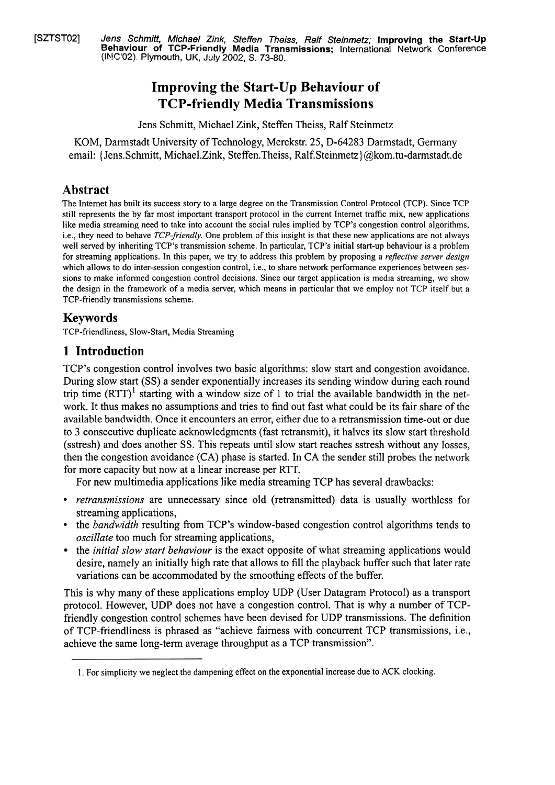[SZTST02] Jens Schmitt, Michael Zink, Steffen Theiss, Ralf Steinmetz; **lmproving the Start-UP Behaviour of TCP-Friendly Media Transmissions;** International Network Conference (lt\!C102). Plymouth, UK, July 2002, S. 73-80.

# **Improving the Start-Up Behaviour of TCP-friendly Media Transmissions**

Jens Schrnitt, Michael Zink, Steffen Theiss, Ralf Steinmetz

KOM, Dannstadt University of Technology, Merckstr. 25, D-64283 Darrnstadt, Germany email: {Jens.Schmitt, Michael.Zink, Steffen.Theiss, **Ralf.Steinmetz)@kom.tu-darmstadt.de** 

#### **Abstract**

The Internet has built its success story to a large degree on the Transmission Control Protocol (TCP). Since TCP still represents the by far most important transport protocol in the current Internet traffic mix, new applications like media streaming need to take into account the social rules implied by TCP's congestion control algorithms, i.e., they need to behave *TCP-friendly*. One problem of this insight is that these new applications are not always well served by inheriting TCP's transmission scheme. In particular, TCP's initial start-up behaviour is a problem for streaming applications. In this paper, we try to address this problem by proposing a *reflective server design*  which allows to do inter-session congestion control, i.e., to share network performance experiences between sessions to make informed congestion control decisions. Since our target application is media streaming, we show the design in the framework of a media server, which means in particular that we employ not TCP itself but a TCP-friendly transmissions scheme.

### **Keywords**

TCP-friendliness, Slow-Start, Media Streaming

### **1 Introduction**

TCP's congestion control involves two basic algorithms: slow start and congestion avoidance. During slow start (SS) a sender exponentially increases its sending window during each round trip time  $(RTT)^{1}$  starting with a window size of 1 to trial the available bandwidth in the network. It thus makes no assumptions and tries to find out fast what could be its fair share of the available bandwidth. Once it encounters an error, either due to a retransmission time-out or due to 3 consecutive duplicate acknowledgments (fast retransmit), it halves its slow start threshold (sstresh) and does another SS. This repeats until slow start reaches sstresh without any losses, then the congestion avoidance  $(CA)$  phase is started. In CA the sender still probes the network for more capacity but now at a linear increase per RTT.

For new multimedia applications like media streaming TCP has several drawbacks:

- *retransmissions* are unnecessary since old (retransmitted) data is usually worthless for  $\bullet$ streaming applications,
- the *bandwidth* resulting from TCP's window-based congestion control algorithms tends to *oscillate* too much for streaming applications,
- the *initial slow start behaviour* is the exact opposite of what streaming applications would desire, namely an initially high rate that allows to fill the playback buffer such that later rate variations can be accommodated by the smoothing effects of the buffer.

This is why many of these applications employ UDP (User Datagram Protocol) as a transport protocol. However, UDP does not have a congestion control. That is why a number of TCPfriendly congestion control schemes have been devised for UDP transmissions. The definition of TCP-friendliness is phrased as "achieve faimess with concurrent TCP transmissions, i.e., achieve the Same long-term average throughput as a TCP transmission".

<sup>1.</sup> For simplicity we neglect the dampening effect on the exponential increase due to ACK clocking.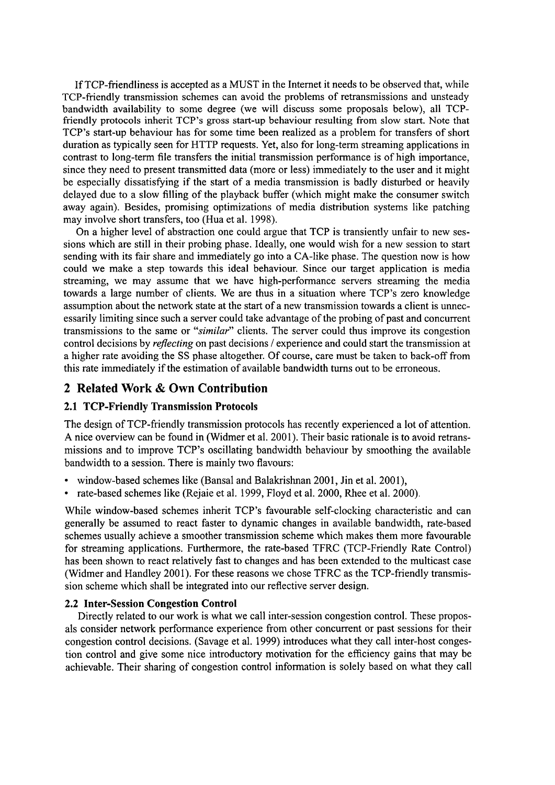If TCP-friendliness is accepted as a MUST in the Intemet it needs to be observed that, while TCP-friendly transmission schemes can avoid the problems of retransmissions and unsteady bandwidth availability to some degree (we will discuss some proposals below), all TCPfriendly protocols inherit TCP's gross start-up behaviour resulting from slow start. Note that TCP's start-up behaviour has for some time been realized as a problem for transfers of short duration as typically seen for HTTP requests. Yet, also for long-term streaming applications in contrast to long-term file transfers the initial transmission performance is of high importance, since they need to present transmitted data (more or less) immediately to the user and it might be especially dissatisfying if the start of a media transmission is badly disturbed or heavily delayed due to a slow filling of the playback buffer (which might make the consumer switch away again). Besides, promising optimizations of media distribution systems like patching may involve short transfers, too (Hua et al. 1998).

On a higher level of abstraction one could argue that TCP is transiently unfair to new sessions which are still in their probing phase. Ideally, one would wish for a new session to start sending with its fair share and immediately go into a CA-like phase. The question now is how could we make a step towards this ideal behaviour. Since our target application is media streaming, we may assume that we have high-performance servers streaming the media towards a large number of clients. We are thus in a situation where TCP's Zero knowledge assumption about the network state at the start of a new transmission towards a client is unnecessarily limiting since such a server could take advantage of the probing of past and concurrent transmissions to the same or **"similar"** clients. The server could thus improve its congestion control decisions by *rejecting* on past decisions I experience and could start the transmission at a higher rate avoiding the SS phase altogether. Of Course, care must be taken to back-off from this rate immediately if the estimation of available bandwidth tums out to be erroneous.

### **2 Related Work** & **Own Contribution**

#### **2.1 TCP-Friendly Transmission Protocols**

The design of TCP-friendly transrnission protocols has recently experienced a lot of attention. **A** nice overview can be found in (Widmer et al. 2001). Their basic rationale is to avoid retransmissions and to improve TCP's oscillating bandwidth behaviour by smoothing the available bandwidth to a session. There is mainly two flavours:

- window-based schemes like (Bansal and Balakrishnan 2001, Jin et al. 2001),
- rate-based schemes like (Rejaie et al. 1999, Floyd et al. 2000, Rhee et al. 2000).

While window-based schemes inherit TCP's favourable self-clocking characteristic and can generally be assumed to react faster to dynamic changes in available bandwidth, rate-based schemes usually achieve a smoother transmission scheme which makes them more favourable for streaming applications. Furthermore, the rate-based TFRC (TCP-Friendly Rate Control) has been shown to react relatively fast to changes and has been extended to the multicast case (Widmer and Handley 2001). For these reasons we chose TFRC as the  $TCP-friendly$  transmission scheme which shall be integrated into our reflective server design.

#### **2.2 Inter-Session Congestion Control**

Directly related to our work is what we call inter-session congestion control. These proposals consider network performance experience from other concurrent or past sessions for their congestion control decisions. (Savage et al. 1999) introduces what they call inter-host congestion control and give some nice introductory motivation for the efficiency gains that may be achievable. Their sharing of congestion control information is solely based on what they call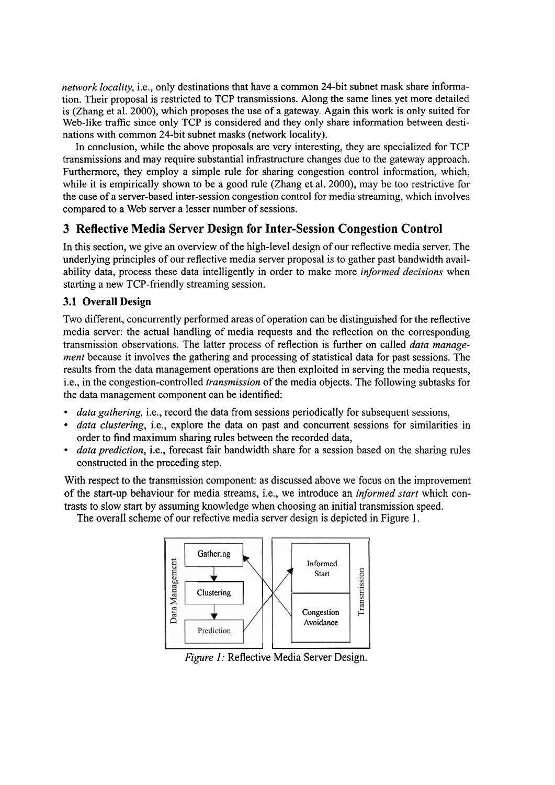network locality, i.e., only destinations that have a common 24-bit subnet mask share information. Their proposal is restricted to TCP transmissions. Along the Same lines yet more detailed is (Zhang et al. 2000), which proposes the use of a gateway. Again this work is only suited for Web-like traffic since only TCP is considered and they only share information between destinations with common 24-bit subnet masks (network locality).

In conclusion, while the above proposals are very interesting, they are specialized for TCP transmissions and may require substantial infrastructure changes due to the gateway approach. Furthermore, they employ a simple rule for sharing congestion control information, which, while it is empirically shown to be a good rule (Zhang et al. 2000), may be too restrictive for the case of a server-based inter-session congestion control for media streaming, which involves compared to a Web server a lesser number of sessions.

### **3 Reflective Media Server Design for Inter-Session Congestion Control**

In this section, we give an overview of the high-level design of our reflective media server. The underlying principles of our reflective media server proposal is to gather past bandwidth availability data, process these data intelligently in order to make more *informed decisions* when starting a new TCP-friendly streaming session.

#### **3.1 Overall Design**

Two different, concurrently performed areas of operation can be distinguished for the reflective media server: the actual handling of media requests and the reflection on the corresponding transmission observations. The latter process of reflection is further on called data management because it involves the gathering and processing of statistical data for past sessions. The results from the data management operations are then exploited in serving the media requests, i.e., in the congestion-controlled transmission of the media objects. The following subtasks for the data management component can be identified:

- data gathering, i.e., record the data from sessions periodically for subsequent sessions,
- data clustering, i.e., explore the data on past and concurrent sessions for similarities in  $\bullet$ order to find maximum sharing rules between the recorded data,
- data prediction, i.e., forecast fair bandwidth share for a session based on the sharing rules constructed in the preceding step.

With respect to the transmission component: as discussed above we focus on the improvement of the start-up behaviour for media streams, i.e., we introduce an informed start which contrasts to slow start by assuming knowledge when choosing an initial transmission speed.

The overall scheme of our refective media server design is depicted in Figure 1.



Figure 1: Reflective Media Server Design.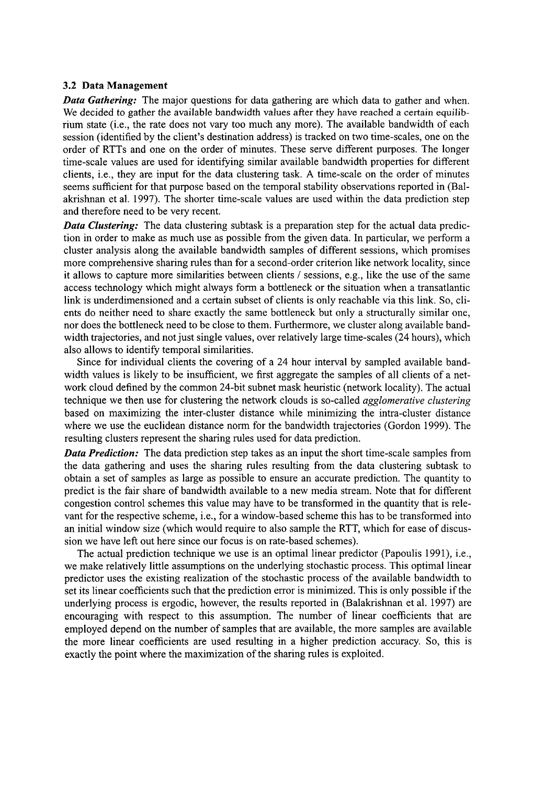#### **3.2 Data Management**

*Data Gathering:* The major questions for data gathering are which data to gather and when. We decided to gather the available bandwidth values after they have reached a certain equilibrium state (i.e., the rate does not vary too much any more). The available bandwidth of each session (identified by the client's destination address) is tracked on two time-scales, one on the order of RTTs and one on the order of minutes. These serve different purposes. The longer time-scale values are used for identifying similar available bandwidth properties for different clients, i.e., they are input for the data clustering task. A time-scale on the order of minutes seems sufficient for that purpose based on the temporal stability observations reported in (Balakrishnan et al. 1997). The shorter time-scale values are used within the data prediction step and therefore need to be very recent.

*Data Clustering:* The data clustering subtask is a preparation step for the actual data prediction in order to make as much use as possible from the given data. In particular, we perform a cluster analysis along the available bandwidth samples of different sessions, which promises more comprehensive sharing rules than for a second-order criterion like network locality, since it allows to capture more similarities between clients / sessions, e.g., like the use of the Same access technology which might always form a bottleneck or the situation when a transatlantic link is underdimensioned and a certain subset of clients is only reachable via this link. So, clients do neither need to share exactly the same bottleneck but only a structurally similar one, nor does the bottleneck need to be close to them. Furthermore, we cluster along available bandwidth trajectories, and not just single values, over relatively large time-scales (24 hours), which also allows to identify temporal similarities.

Since for individual clients the covering of a 24 hour interval by sampled available bandwidth values is likely to be insufficient, we first aggregate the samples of all clients of a network cloud defined by the cornmon 24-bit subnet mask heuristic (network locality). The actual technique we then use for clustering the network clouds is so-called *agglomerative clustering*  based on maximizing the inter-cluster distance while minimizing the intra-cluster distance where we use the euclidean distance norm for the bandwidth trajectories (Gordon 1999). The resulting clusters represent the sharing rules used for data prediction.

*Data Prediction:* The data prediction step takes as an input the short time-scale samples from the data gathering and uses the sharing rules resulting from the data clustering subtask to obtain a Set of sarnples as large as possible to ensure an accurate prediction. The quantity to predict is the fair share of bandwidth available to a new media stream. Note that for different congestion control schemes this value may have to be transformed in the quantity that is relevant for the respective scheme, i.e., for a window-based scheme this has to be transformed into an initial window size (which would require to also sample the RTT, which for ease of discussion we have left out here since our focus is on rate-based schemes).

The actual prediction technique we use is an optimal linear predictor (Papoulis 1991), i.e., we make relatively little assurnptions on the underlying stochastic process. This optimal linear predictor uses the existing realization of the stochastic process of the available bandwidth to set its linear coefficients such that the prediction error is minimized. This is only possible if the underlying process is ergodic, however, the results reported in (Balakrishnan et al. 1997) are encouraging with respect to this assumption. The number of linear coefficients that are employed depend on the number of samples that are available, the more samples are available the more linear coefficients are used resulting in a higher prediction accuracy. So, this is exactly the point where the maximization of the sharing rules is exploited.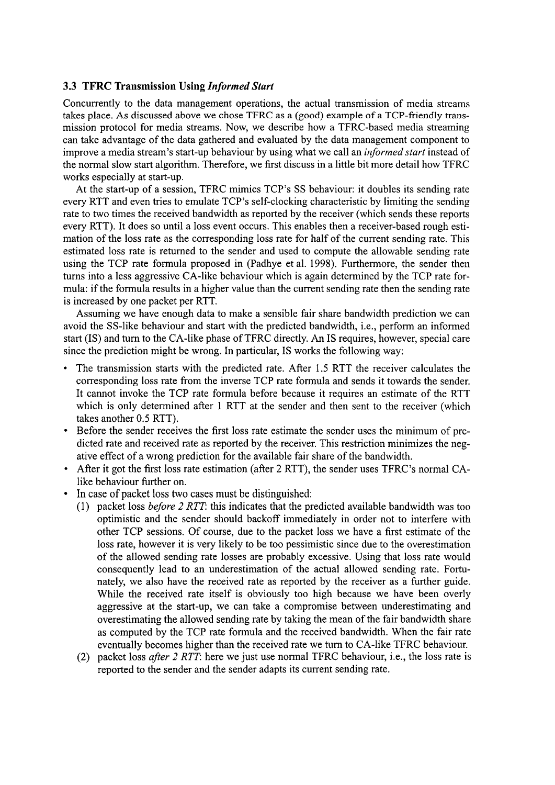#### **3.3 TFRC Transmission Using** *Informed Start*

Concurrently to the data management operations, the actual transmission of media streams takes place. As discussed above we chose TFRC as a (good) exarnple of a TCP-friendly transmission protocol for media streams. Now, we describe how a TFRC-based media streaming can take advantage of the data gathered and evaluated by the data management component to improve a media stream's start-up behaviour by using what we call an *informed start* instead of the normal slow start algorithm. Therefore, we first discuss in a little bit more detail how TFRC works especially at start-up.

At the start-up of a session, TFRC mimics TCP's SS behaviour: it doubles its sending rate every RTT and even tries to emulate TCP's self-clocking characteristic by limiting the sending rate to two times the received bandwidth as reported by the receiver (which sends these reports every RTT). It does so until a loss event occurs. This enables then a receiver-based rough estimation of the loss rate as the corresponding loss rate for half of the current sending rate. This estimated loss rate is returned to the sender and used to compute the allowable sending rate using the TCP rate formula proposed in (Padhye et al. 1998). Furthermore, the sender then turns into a less aggressive CA-like behaviour which is again determined by the TCP rate formula: if the formula results in a higher value than the current sending rate then the sending rate is increased by one packet per RTT.

Assuming we have enough data to make a sensible fair share bandwidth prediction we can avoid the SS-like behaviour and start with the predicted bandwidth, i.e., perform an informed start (1s) and turn to the CA-like phase of TFRC directly. An IS requires, however, special care since the prediction might be wrong. In particular, IS works the following way:

- The transmission starts with the predicted rate. After 1.5 RTT the receiver calculates the corresponding loss rate from the inverse TCP rate formula and sends it towards the sender. It cannot invoke the TCP rate formula before because it requires an estimate of the RTT which is only determined after 1 RTT at the sender and then sent to the receiver (which takes another 0.5 RTT).
- Before the sender receives the first loss rate estimate the sender uses the minimum of predicted rate and received rate as reported by the receiver. This restriction minimizes the negative effect of a wrong prediction for the available fair share of the bandwidth.
- After it got the first loss rate estimation (after 2 RTT), the sender uses TFRC's normal CAlike behaviour further on.
- In case of packet loss two cases must be distinguished:
	- (1) packet loss *before* 2 *RTT:* this indicates that the predicted available bandwidth was too optimistic and the sender should backoff irnmediately in order not to interfere with other TCP sessions. Of Course, due to the packet loss we have a first estimate of the loss rate, however it is very likely to be too pessimistic since due to the overestimation of the allowed sending rate losses are probably excessive. Using that loss rate would consequently lead to an underestimation of the actual allowed sending rate. Fortunately, we also have the received rate as reported by the receiver as a further guide. While the received rate itself is obviously too high because we have been overly aggressive at the start-up, we can take a compromise between underestimating and overestimating the allowed sending rate by taking the mean of the fair bandwidth share as computed by the TCP rate formula and the received bandwidth. When the fair rate eventually becomes higher than the received rate we turn to CA-like TFRC behaviour.
	- (2) packet loss *after* 2 *RTT:* here we just use normal TFRC behaviour, i.e., the loss rate is reported to the sender and the sender adapts its current sending rate.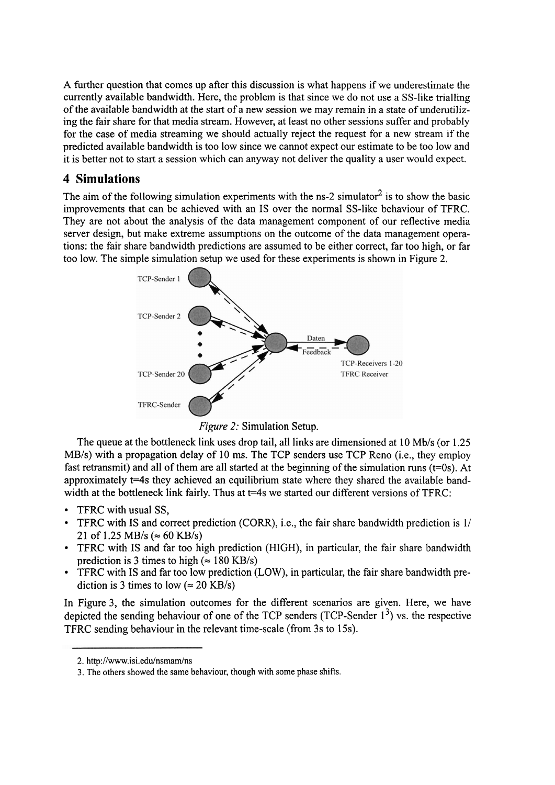A further question that Comes up after this discussion is what happens if we underestimate the currently available bandwidth. Here, the problem is that since we do not use a SS-like trialling of the available bandwidth at the start of a new session we may remain in a state of undemtilizing the fair share for that media stream. However, at least no other sessions suffer and probably for the case of media streaming we should actually reject the request for a new stream if the predicted available bandwidth is too low since we cannot expect our estimate to be too low and it is better not to start a session which can anyway not deliver the quality a user would expect.

### **4 Simulations**

The aim of the following simulation experiments with the ns-2 simulator<sup>2</sup> is to show the basic improvements that can be acheved with an IS over the normal SS-like behaviour of TFRC. They are not about the analysis of the data management component of our reflective media server design, but make extreme assumptions on the outcome of the data management operations: the fair share bandwidth predictions are assumed to be either correct, far too high, or far too low. The simple simulation setup we used for these experiments is shown in Figure 2.



Figure 2: Simulation Setup.

The queue at the bottleneck link uses drop tail, all links are dimensioned at 10 Mb/s (or 1.25 MB/s) with a propagation delay of 10 ms. The TCP senders use TCP Reno (i.e., they employ fast retransmit) and all of them are all started at the beginning of the simulation runs ( $t=0s$ ). At approximately t=4s they achieved an equilibrium state where they shared the available bandwidth at the bottleneck link fairly. Thus at t=4s we started our different versions of TFRC:

- TFRC with usual SS,
- TFRC with IS and correct prediction (CORR), i.e., the fair share bandwidth prediction is 1/  $\bullet$ 21 of 1.25 MB/s ( $\approx$  60 KB/s)
- TFRC with IS and far too high prediction (HIGH), in particular, the fair share bandwidth prediction is 3 times to high ( $\approx 180$  KB/s)
- TFRC with IS and far too low prediction (LOW), in particular, the fair share bandwidth prediction is 3 times to low ( $\approx$  20 KB/s)

In Figure 3, the simulation outcomes for the different scenarios are given. Here, we have depicted the sending behaviour of one of the TCP senders (TCP-Sender  $1<sup>3</sup>$ ) vs. the respective TFRC sending behaviour in the relevant time-scale (from 3s to 15s).

<sup>2.</sup> http://www.isi.edu/nsmam/ns

<sup>3.</sup> The others showed the same behaviour, though with some phase shifts.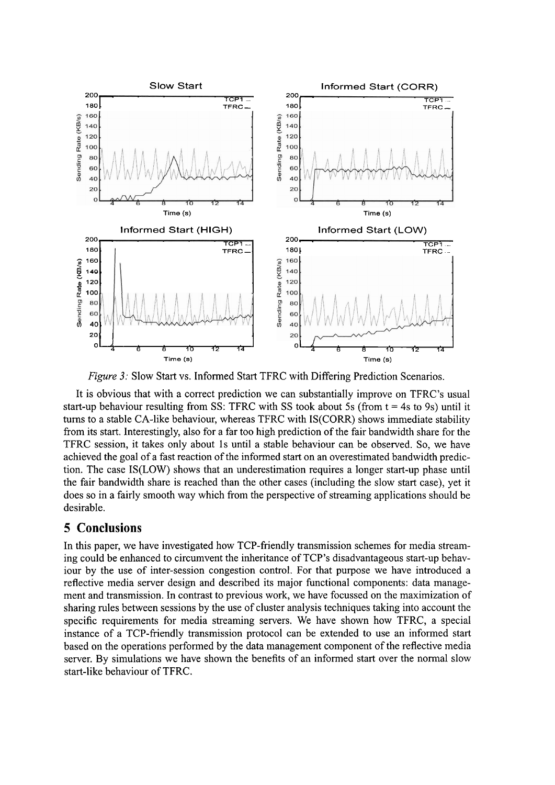

*Figure 3:* Slow Start vs. Informed Start TFRC with Differing Prediction Scenarios.

It is obvious that with a correct prediction we can substantially improve on TFRC's usual start-up behaviour resulting from SS: TFRC with SS took about 5s (from  $t = 4s$  to 9s) until it tums to a stable CA-like behaviour, whereas TFRC with IS(C0RR) shows immediate stability from its start. Interestingly, also for a far too high prediction of the fair bandwidth share for the TFRC session, it takes only about 1s until a stable behaviour can be observed. So, we have achieved the goal of a fast reaction of the informed start on an overestimated bandwidth prediction. The case IS(L0W) shows that an underestimation requires a longer start-up phase until the fair bandwidth share is reached than the other cases (including the slow start case), yet it does so in a fairly smooth way which from the perspective of streaming applications should be desirable.

### **5 Conclusions**

In this paper, we have investigated how TCP-friendly transmission schemes for media streaming could be enhanced to circumvent the inheritance of TCP's disadvantageous start-up behaviour by the use of inter-session congestion control. For that purpose we have introduced a reflective media server design and described its major fünctional components: data management and transmission. In contrast to previous work, we have focussed on the maximization of sharing rules between sessions by the use of cluster analysis techniques taking into account the specific requirements for media streaming servers. We have shown how TFRC, a special instance of a TCP-friendly transmission protocol can be extended to use an informed start based on the operations performed by the data management component of the reflective media server. By simulations we have shown the benefits of an informed start over the normal slow start-like behaviour of TFRC.